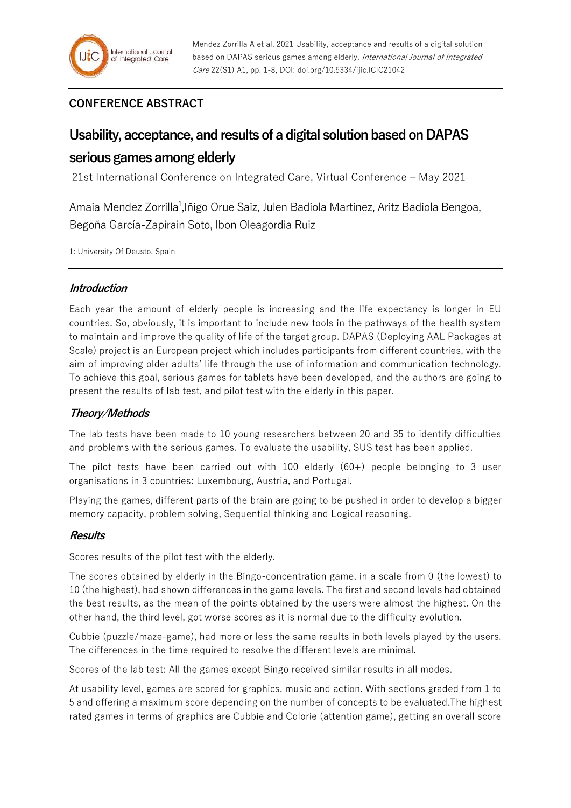## **CONFERENCE ABSTRACT**

# **Usability, acceptance, and results of a digital solution based on DAPAS**

# **serious games among elderly**

21st International Conference on Integrated Care, Virtual Conference – May 2021

Amaia Mendez Zorrilla<sup>1</sup>, Iñigo Orue Saiz, Julen Badiola Martínez, Aritz Badiola Bengoa, Begoña García-Zapirain Soto, Ibon Oleagordia Ruiz

1: University Of Deusto, Spain

### **Introduction**

Each year the amount of elderly people is increasing and the life expectancy is longer in EU countries. So, obviously, it is important to include new tools in the pathways of the health system to maintain and improve the quality of life of the target group. DAPAS (Deploying AAL Packages at Scale) project is an European project which includes participants from different countries, with the aim of improving older adults' life through the use of information and communication technology. To achieve this goal, serious games for tablets have been developed, and the authors are going to present the results of lab test, and pilot test with the elderly in this paper.

### **Theory/Methods**

The lab tests have been made to 10 young researchers between 20 and 35 to identify difficulties and problems with the serious games. To evaluate the usability, SUS test has been applied.

The pilot tests have been carried out with  $100$  elderly  $(60+)$  people belonging to 3 user organisations in 3 countries: Luxembourg, Austria, and Portugal.

Playing the games, different parts of the brain are going to be pushed in order to develop a bigger memory capacity, problem solving, Sequential thinking and Logical reasoning.

### **Results**

Scores results of the pilot test with the elderly.

The scores obtained by elderly in the Bingo-concentration game, in a scale from 0 (the lowest) to 10 (the highest), had shown differences in the game levels. The first and second levels had obtained the best results, as the mean of the points obtained by the users were almost the highest. On the other hand, the third level, got worse scores as it is normal due to the difficulty evolution.

Cubbie (puzzle/maze-game), had more or less the same results in both levels played by the users. The differences in the time required to resolve the different levels are minimal.

Scores of the lab test: All the games except Bingo received similar results in all modes.

At usability level, games are scored for graphics, music and action. With sections graded from 1 to 5 and offering a maximum score depending on the number of concepts to be evaluated.The highest rated games in terms of graphics are Cubbie and Colorie (attention game), getting an overall score